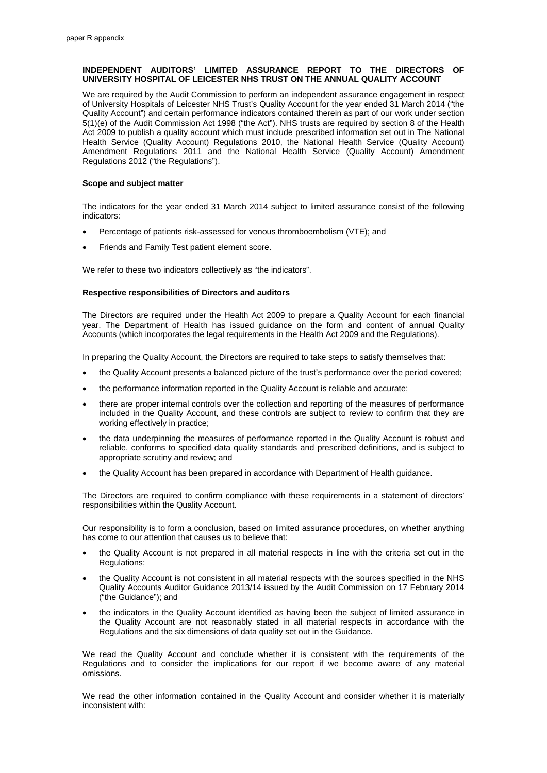# **INDEPENDENT AUDITORS' LIMITED ASSURANCE REPORT TO THE DIRECTORS OF UNIVERSITY HOSPITAL OF LEICESTER NHS TRUST ON THE ANNUAL QUALITY ACCOUNT**

We are required by the Audit Commission to perform an independent assurance engagement in respect of University Hospitals of Leicester NHS Trust's Quality Account for the year ended 31 March 2014 ("the Quality Account") and certain performance indicators contained therein as part of our work under section 5(1)(e) of the Audit Commission Act 1998 ("the Act"). NHS trusts are required by section 8 of the Health Act 2009 to publish a quality account which must include prescribed information set out in The National Health Service (Quality Account) Regulations 2010, the National Health Service (Quality Account) Amendment Regulations 2011 and the National Health Service (Quality Account) Amendment Regulations 2012 ("the Regulations").

## **Scope and subject matter**

The indicators for the year ended 31 March 2014 subject to limited assurance consist of the following indicators:

- Percentage of patients risk-assessed for venous thromboembolism (VTE); and
- Friends and Family Test patient element score.

We refer to these two indicators collectively as "the indicators".

### **Respective responsibilities of Directors and auditors**

The Directors are required under the Health Act 2009 to prepare a Quality Account for each financial year. The Department of Health has issued guidance on the form and content of annual Quality Accounts (which incorporates the legal requirements in the Health Act 2009 and the Regulations).

In preparing the Quality Account, the Directors are required to take steps to satisfy themselves that:

- the Quality Account presents a balanced picture of the trust's performance over the period covered;
- the performance information reported in the Quality Account is reliable and accurate:
- there are proper internal controls over the collection and reporting of the measures of performance included in the Quality Account, and these controls are subject to review to confirm that they are working effectively in practice;
- the data underpinning the measures of performance reported in the Quality Account is robust and reliable, conforms to specified data quality standards and prescribed definitions, and is subject to appropriate scrutiny and review; and
- the Quality Account has been prepared in accordance with Department of Health guidance.

The Directors are required to confirm compliance with these requirements in a statement of directors' responsibilities within the Quality Account.

Our responsibility is to form a conclusion, based on limited assurance procedures, on whether anything has come to our attention that causes us to believe that:

- the Quality Account is not prepared in all material respects in line with the criteria set out in the Regulations;
- the Quality Account is not consistent in all material respects with the sources specified in the NHS Quality Accounts Auditor Guidance 2013/14 issued by the Audit Commission on 17 February 2014 ("the Guidance"); and
- the indicators in the Quality Account identified as having been the subject of limited assurance in the Quality Account are not reasonably stated in all material respects in accordance with the Regulations and the six dimensions of data quality set out in the Guidance.

We read the Quality Account and conclude whether it is consistent with the requirements of the Regulations and to consider the implications for our report if we become aware of any material omissions.

We read the other information contained in the Quality Account and consider whether it is materially inconsistent with: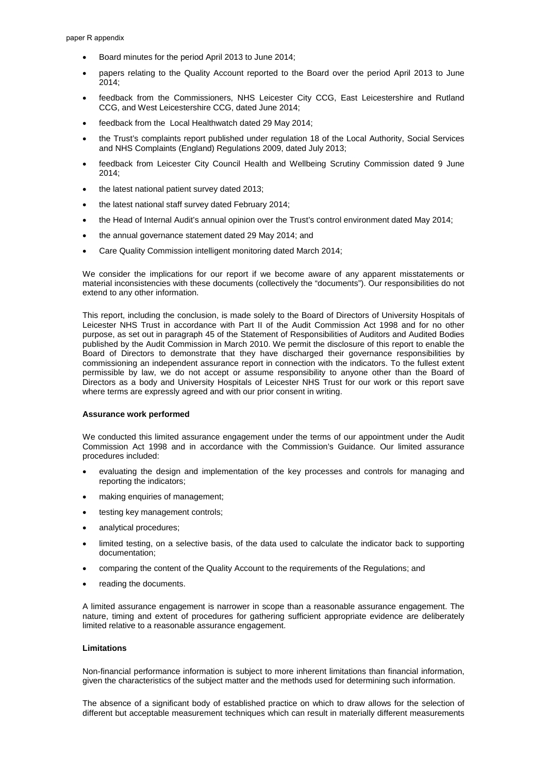- Board minutes for the period April 2013 to June 2014;
- papers relating to the Quality Account reported to the Board over the period April 2013 to June 2014;
- feedback from the Commissioners, NHS Leicester City CCG, East Leicestershire and Rutland CCG, and West Leicestershire CCG, dated June 2014;
- feedback from the Local Healthwatch dated 29 May 2014;
- the Trust's complaints report published under regulation 18 of the Local Authority, Social Services and NHS Complaints (England) Regulations 2009, dated July 2013;
- feedback from Leicester City Council Health and Wellbeing Scrutiny Commission dated 9 June 2014;
- the latest national patient survey dated 2013;
- the latest national staff survey dated February 2014;
- the Head of Internal Audit's annual opinion over the Trust's control environment dated May 2014;
- the annual governance statement dated 29 May 2014; and
- Care Quality Commission intelligent monitoring dated March 2014;

We consider the implications for our report if we become aware of any apparent misstatements or material inconsistencies with these documents (collectively the "documents"). Our responsibilities do not extend to any other information.

This report, including the conclusion, is made solely to the Board of Directors of University Hospitals of Leicester NHS Trust in accordance with Part II of the Audit Commission Act 1998 and for no other purpose, as set out in paragraph 45 of the Statement of Responsibilities of Auditors and Audited Bodies published by the Audit Commission in March 2010. We permit the disclosure of this report to enable the Board of Directors to demonstrate that they have discharged their governance responsibilities by commissioning an independent assurance report in connection with the indicators. To the fullest extent permissible by law, we do not accept or assume responsibility to anyone other than the Board of Directors as a body and University Hospitals of Leicester NHS Trust for our work or this report save where terms are expressly agreed and with our prior consent in writing.

### **Assurance work performed**

We conducted this limited assurance engagement under the terms of our appointment under the Audit Commission Act 1998 and in accordance with the Commission's Guidance. Our limited assurance procedures included:

- evaluating the design and implementation of the key processes and controls for managing and reporting the indicators;
- making enquiries of management;
- testing key management controls;
- analytical procedures;
- limited testing, on a selective basis, of the data used to calculate the indicator back to supporting documentation;
- comparing the content of the Quality Account to the requirements of the Regulations; and
- reading the documents.

A limited assurance engagement is narrower in scope than a reasonable assurance engagement. The nature, timing and extent of procedures for gathering sufficient appropriate evidence are deliberately limited relative to a reasonable assurance engagement.

## **Limitations**

Non-financial performance information is subject to more inherent limitations than financial information, given the characteristics of the subject matter and the methods used for determining such information.

The absence of a significant body of established practice on which to draw allows for the selection of different but acceptable measurement techniques which can result in materially different measurements